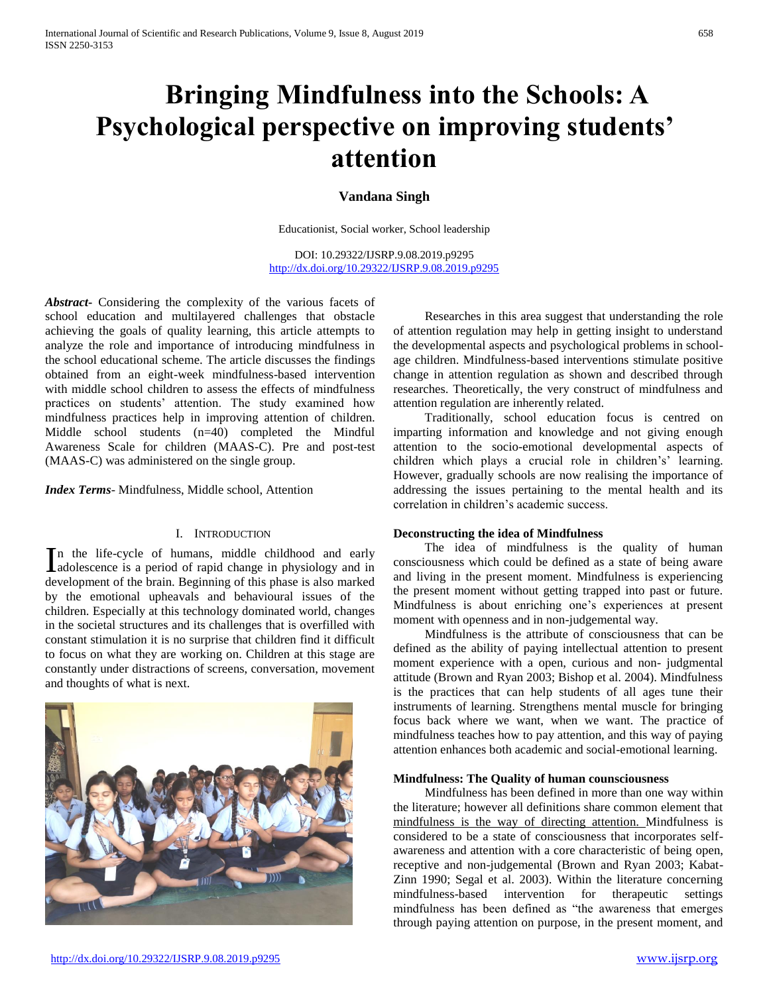# **Bringing Mindfulness into the Schools: A Psychological perspective on improving students' attention**

### **Vandana Singh**

Educationist, Social worker, School leadership

DOI: 10.29322/IJSRP.9.08.2019.p9295 <http://dx.doi.org/10.29322/IJSRP.9.08.2019.p9295>

*Abstract***-** Considering the complexity of the various facets of school education and multilayered challenges that obstacle achieving the goals of quality learning, this article attempts to analyze the role and importance of introducing mindfulness in the school educational scheme. The article discusses the findings obtained from an eight-week mindfulness-based intervention with middle school children to assess the effects of mindfulness practices on students' attention. The study examined how mindfulness practices help in improving attention of children. Middle school students (n=40) completed the Mindful Awareness Scale for children (MAAS-C). Pre and post-test (MAAS-C) was administered on the single group.

*Index Terms*- Mindfulness, Middle school, Attention

### I. INTRODUCTION

n the life-cycle of humans, middle childhood and early In the life-cycle of humans, middle childhood and early adolescence is a period of rapid change in physiology and in development of the brain. Beginning of this phase is also marked by the emotional upheavals and behavioural issues of the children. Especially at this technology dominated world, changes in the societal structures and its challenges that is overfilled with constant stimulation it is no surprise that children find it difficult to focus on what they are working on. Children at this stage are constantly under distractions of screens, conversation, movement and thoughts of what is next.



 Researches in this area suggest that understanding the role of attention regulation may help in getting insight to understand the developmental aspects and psychological problems in schoolage children. Mindfulness-based interventions stimulate positive change in attention regulation as shown and described through researches. Theoretically, the very construct of mindfulness and attention regulation are inherently related.

 Traditionally, school education focus is centred on imparting information and knowledge and not giving enough attention to the socio-emotional developmental aspects of children which plays a crucial role in children's' learning. However, gradually schools are now realising the importance of addressing the issues pertaining to the mental health and its correlation in children's academic success.

### **Deconstructing the idea of Mindfulness**

 The idea of mindfulness is the quality of human consciousness which could be defined as a state of being aware and living in the present moment. Mindfulness is experiencing the present moment without getting trapped into past or future. Mindfulness is about enriching one's experiences at present moment with openness and in non-judgemental way.

 Mindfulness is the attribute of consciousness that can be defined as the ability of paying intellectual attention to present moment experience with a open, curious and non- judgmental attitude (Brown and Ryan 2003; Bishop et al. 2004). Mindfulness is the practices that can help students of all ages tune their instruments of learning. Strengthens mental muscle for bringing focus back where we want, when we want. The practice of mindfulness teaches how to pay attention, and this way of paying attention enhances both academic and social-emotional learning.

### **Mindfulness: The Quality of human counsciousness**

 Mindfulness has been defined in more than one way within the literature; however all definitions share common element that mindfulness is the way of directing attention. Mindfulness is considered to be a state of consciousness that incorporates selfawareness and attention with a core characteristic of being open, receptive and non-judgemental (Brown and Ryan 2003; Kabat-Zinn 1990; Segal et al. 2003). Within the literature concerning mindfulness-based intervention for therapeutic settings mindfulness has been defined as "the awareness that emerges through paying attention on purpose, in the present moment, and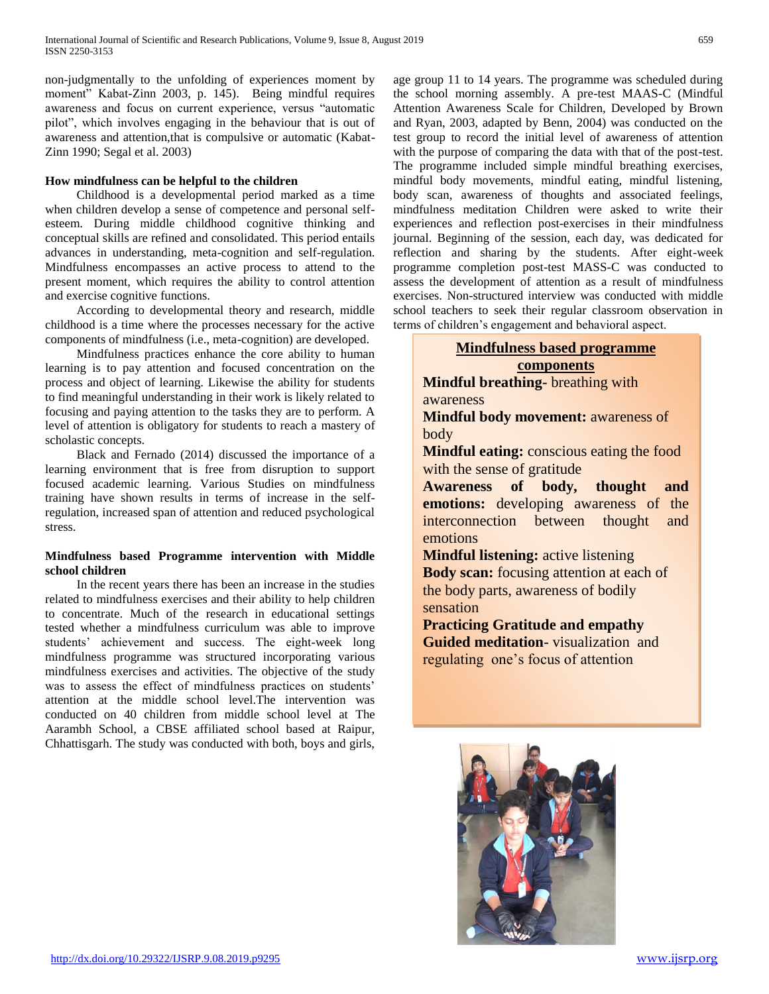non-judgmentally to the unfolding of experiences moment by moment" Kabat-Zinn 2003, p. 145). Being mindful requires awareness and focus on current experience, versus "automatic pilot", which involves engaging in the behaviour that is out of awareness and attention,that is compulsive or automatic (Kabat-Zinn 1990; Segal et al. 2003)

### **How mindfulness can be helpful to the children**

 Childhood is a developmental period marked as a time when children develop a sense of competence and personal selfesteem. During middle childhood cognitive thinking and conceptual skills are refined and consolidated. This period entails advances in understanding, meta-cognition and self-regulation. Mindfulness encompasses an active process to attend to the present moment, which requires the ability to control attention and exercise cognitive functions.

 According to developmental theory and research, middle childhood is a time where the processes necessary for the active components of mindfulness (i.e., meta-cognition) are developed.

 Mindfulness practices enhance the core ability to human learning is to pay attention and focused concentration on the process and object of learning. Likewise the ability for students to find meaningful understanding in their work is likely related to focusing and paying attention to the tasks they are to perform. A level of attention is obligatory for students to reach a mastery of scholastic concepts.

 Black and Fernado (2014) discussed the importance of a learning environment that is free from disruption to support focused academic learning. Various Studies on mindfulness training have shown results in terms of increase in the selfregulation, increased span of attention and reduced psychological stress.

### **Mindfulness based Programme intervention with Middle school children**

 In the recent years there has been an increase in the studies related to mindfulness exercises and their ability to help children to concentrate. Much of the research in educational settings tested whether a mindfulness curriculum was able to improve students' achievement and success. The eight-week long mindfulness programme was structured incorporating various mindfulness exercises and activities. The objective of the study was to assess the effect of mindfulness practices on students' attention at the middle school level.The intervention was conducted on 40 children from middle school level at The Aarambh School, a CBSE affiliated school based at Raipur, Chhattisgarh. The study was conducted with both, boys and girls, age group 11 to 14 years. The programme was scheduled during the school morning assembly. A pre-test MAAS-C (Mindful Attention Awareness Scale for Children, Developed by Brown and Ryan, 2003, adapted by Benn, 2004) was conducted on the test group to record the initial level of awareness of attention with the purpose of comparing the data with that of the post-test. The programme included simple mindful breathing exercises, mindful body movements, mindful eating, mindful listening, body scan, awareness of thoughts and associated feelings, mindfulness meditation Children were asked to write their experiences and reflection post-exercises in their mindfulness journal. Beginning of the session, each day, was dedicated for reflection and sharing by the students. After eight-week programme completion post-test MASS-C was conducted to assess the development of attention as a result of mindfulness exercises. Non-structured interview was conducted with middle school teachers to seek their regular classroom observation in terms of children's engagement and behavioral aspect.

### **Mindfulness based programme components**

**Mindful breathing-** breathing with awareness

**Mindful body movement:** awareness of body

**Mindful eating:** conscious eating the food with the sense of gratitude

**Awareness of body, thought and emotions:** developing awareness of the interconnection between thought and emotions

**Mindful listening:** active listening **Body scan:** focusing attention at each of the body parts, awareness of bodily sensation

**Practicing Gratitude and empathy Guided meditation**- visualization and regulating one's focus of attention

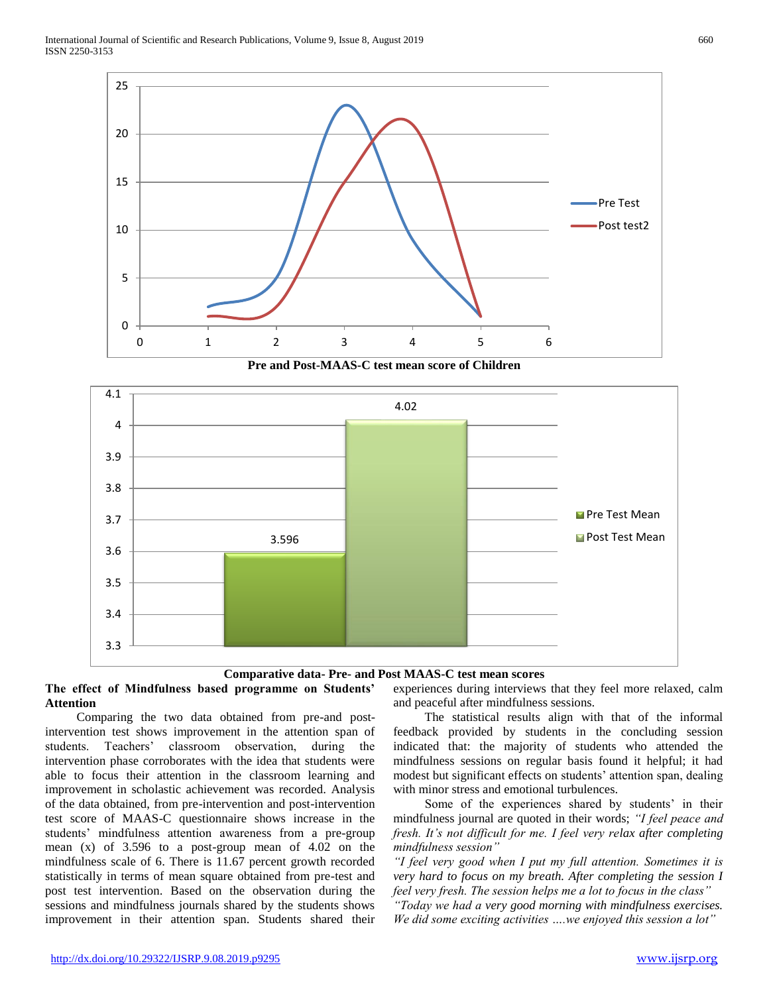

**Pre and Post-MAAS-C test mean score of Children**



### **Comparative data- Pre- and Post MAAS-C test mean scores**

### **The effect of Mindfulness based programme on Students' Attention**

 Comparing the two data obtained from pre-and postintervention test shows improvement in the attention span of students. Teachers' classroom observation, during the intervention phase corroborates with the idea that students were able to focus their attention in the classroom learning and improvement in scholastic achievement was recorded. Analysis of the data obtained, from pre-intervention and post-intervention test score of MAAS-C questionnaire shows increase in the students' mindfulness attention awareness from a pre-group mean (x) of 3.596 to a post-group mean of 4.02 on the mindfulness scale of 6. There is 11.67 percent growth recorded statistically in terms of mean square obtained from pre-test and post test intervention. Based on the observation during the sessions and mindfulness journals shared by the students shows improvement in their attention span. Students shared their

experiences during interviews that they feel more relaxed, calm and peaceful after mindfulness sessions.

 The statistical results align with that of the informal feedback provided by students in the concluding session indicated that: the majority of students who attended the mindfulness sessions on regular basis found it helpful; it had modest but significant effects on students' attention span, dealing with minor stress and emotional turbulences.

 Some of the experiences shared by students' in their mindfulness journal are quoted in their words; *"I feel peace and fresh. It's not difficult for me. I feel very relax after completing mindfulness session"*

*"I feel very good when I put my full attention. Sometimes it is very hard to focus on my breath. After completing the session I feel very fresh. The session helps me a lot to focus in the class"*

*"Today we had a very good morning with mindfulness exercises. We did some exciting activities ….we enjoyed this session a lot"*